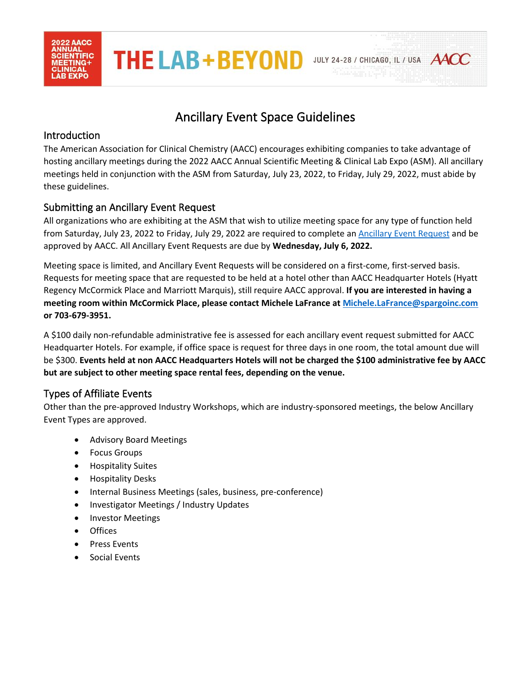

# Ancillary Event Space Guidelines

### Introduction

The American Association for Clinical Chemistry (AACC) encourages exhibiting companies to take advantage of hosting ancillary meetings during the 2022 AACC Annual Scientific Meeting & Clinical Lab Expo (ASM). All ancillary meetings held in conjunction with the ASM from Saturday, July 23, 2022, to Friday, July 29, 2022, must abide by these guidelines.

# Submitting an Ancillary Event Request

All organizations who are exhibiting at the ASM that wish to utilize meeting space for any type of function held from Saturday, July 23, 2022 to Friday, July 29, 2022 are required to complete a[n Ancillary Event Request](https://s6.goeshow.com/aacchem/annual/2022/affiliate_meetingform.cfm) and be approved by AACC. All Ancillary Event Requests are due by **Wednesday, July 6, 2022.**

Meeting space is limited, and Ancillary Event Requests will be considered on a first-come, first-served basis. Requests for meeting space that are requested to be held at a hotel other than AACC Headquarter Hotels (Hyatt Regency McCormick Place and Marriott Marquis), still require AACC approval. **If you are interested in having a meeting room within McCormick Place, please contact Michele LaFrance at [Michele.LaFrance@spargoinc.com](mailto:Michele.LaFrance@spargoinc.com) or 703-679-3951.** 

A \$100 daily non-refundable administrative fee is assessed for each ancillary event request submitted for AACC Headquarter Hotels. For example, if office space is request for three days in one room, the total amount due will be \$300. **Events held at non AACC Headquarters Hotels will not be charged the \$100 administrative fee by AACC but are subject to other meeting space rental fees, depending on the venue.**

# Types of Affiliate Events

Other than the pre-approved Industry Workshops, which are industry-sponsored meetings, the below Ancillary Event Types are approved.

- Advisory Board Meetings
- Focus Groups
- Hospitality Suites
- Hospitality Desks
- Internal Business Meetings (sales, business, pre-conference)
- Investigator Meetings / Industry Updates
- Investor Meetings
- Offices
- Press Events
- Social Events